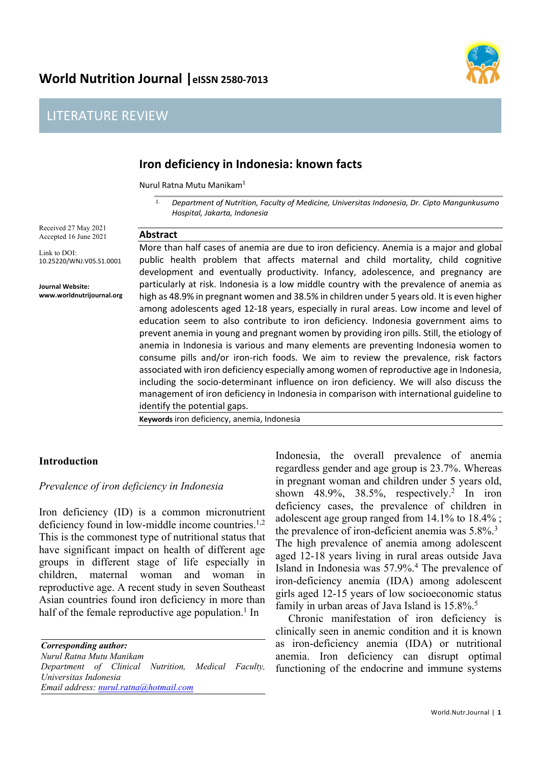# World Nutrition Journal | eISSN 2580-7013

**Abstract**

## LITERATURE REVIEW



## **Iron deficiency in Indonesia: known facts**

Nurul Ratna Mutu Manikam1

*1. Department of Nutrition, Faculty of Medicine, Universitas Indonesia, Dr. Cipto Mangunkusumo Hospital, Jakarta, Indonesia*

Received 27 May 2021 Accepted 16 June 2021

Link to DOI: 10.25220/WNJ.V05.S1.0001

**Journal Website: www.worldnutrijournal.org** More than half cases of anemia are due to iron deficiency. Anemia is a major and global public health problem that affects maternal and child mortality, child cognitive development and eventually productivity. Infancy, adolescence, and pregnancy are particularly at risk. Indonesia is a low middle country with the prevalence of anemia as high as 48.9% in pregnant women and 38.5% in children under 5 years old. It is even higher among adolescents aged 12-18 years, especially in rural areas. Low income and level of education seem to also contribute to iron deficiency. Indonesia government aims to prevent anemia in young and pregnant women by providing iron pills. Still, the etiology of anemia in Indonesia is various and many elements are preventing Indonesia women to consume pills and/or iron-rich foods. We aim to review the prevalence, risk factors associated with iron deficiency especially among women of reproductive age in Indonesia, including the socio-determinant influence on iron deficiency. We will also discuss the management of iron deficiency in Indonesia in comparison with international guideline to identify the potential gaps.

**Keywords** iron deficiency, anemia, Indonesia

### **Introduction**

### *Prevalence of iron deficiency in Indonesia*

Iron deficiency (ID) is a common micronutrient deficiency found in low-middle income countries. $1,2$ This is the commonest type of nutritional status that have significant impact on health of different age groups in different stage of life especially in children, maternal woman and woman in reproductive age. A recent study in seven Southeast Asian countries found iron deficiency in more than half of the female reproductive age population.<sup>1</sup> In

*Corresponding author: Nurul Ratna Mutu Manikam Department of Clinical Nutrition, Medical Faculty, Universitas Indonesia Email address: nurul.ratna@hotmail.com*

Indonesia, the overall prevalence of anemia regardless gender and age group is 23.7%. Whereas in pregnant woman and children under 5 years old, shown 48.9%, 38.5%, respectively.<sup>2</sup> In iron deficiency cases, the prevalence of children in adolescent age group ranged from 14.1% to 18.4% ; the prevalence of iron-deficient anemia was 5.8%.<sup>3</sup> The high prevalence of anemia among adolescent aged 12-18 years living in rural areas outside Java Island in Indonesia was 57.9%.4 The prevalence of iron-deficiency anemia (IDA) among adolescent girls aged 12-15 years of low socioeconomic status family in urban areas of Java Island is 15.8%.5

Chronic manifestation of iron deficiency is clinically seen in anemic condition and it is known as iron-deficiency anemia (IDA) or nutritional anemia. Iron deficiency can disrupt optimal functioning of the endocrine and immune systems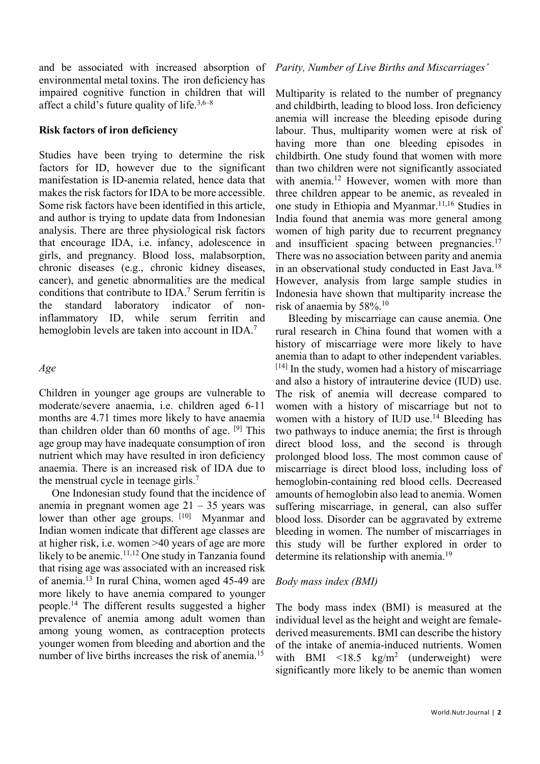and be associated with increased absorption of environmental metal toxins. The iron deficiency has impaired cognitive function in children that will affect a child's future quality of life.3,6–8

#### **Risk factors of iron deficiency**

Studies have been trying to determine the risk factors for ID, however due to the significant manifestation is ID-anemia related, hence data that makes the risk factors for IDA to be more accessible. Some risk factors have been identified in this article, and author is trying to update data from Indonesian analysis. There are three physiological risk factors that encourage IDA, i.e. infancy, adolescence in girls, and pregnancy. Blood loss, malabsorption, chronic diseases (e.g., chronic kidney diseases, cancer), and genetic abnormalities are the medical conditions that contribute to IDA.7 Serum ferritin is the standard laboratory indicator of noninflammatory ID, while serum ferritin and hemoglobin levels are taken into account in IDA.<sup>7</sup>

#### *Age*

Children in younger age groups are vulnerable to moderate/severe anaemia, i.e. children aged 6-11 months are 4.71 times more likely to have anaemia than children older than 60 months of age.  $[9]$  This age group may have inadequate consumption of iron nutrient which may have resulted in iron deficiency anaemia. There is an increased risk of IDA due to the menstrual cycle in teenage girls.<sup>7</sup>

One Indonesian study found that the incidence of anemia in pregnant women age 21 – 35 years was lower than other age groups. [10] Myanmar and Indian women indicate that different age classes are at higher risk, i.e. women >40 years of age are more likely to be anemic.<sup>11,12</sup> One study in Tanzania found that rising age was associated with an increased risk of anemia.13 In rural China, women aged 45-49 are more likely to have anemia compared to younger people.14 The different results suggested a higher prevalence of anemia among adult women than among young women, as contraception protects younger women from bleeding and abortion and the number of live births increases the risk of anemia.<sup>15</sup>

### *Parity, Number of Live Births and Miscarriages'*

Multiparity is related to the number of pregnancy and childbirth, leading to blood loss. Iron deficiency anemia will increase the bleeding episode during labour. Thus, multiparity women were at risk of having more than one bleeding episodes in childbirth. One study found that women with more than two children were not significantly associated with anemia.<sup>12</sup> However, women with more than three children appear to be anemic, as revealed in one study in Ethiopia and Myanmar.<sup>11,16</sup> Studies in India found that anemia was more general among women of high parity due to recurrent pregnancy and insufficient spacing between pregnancies.<sup>17</sup> There was no association between parity and anemia in an observational study conducted in East Java.<sup>18</sup> However, analysis from large sample studies in Indonesia have shown that multiparity increase the risk of anaemia by 58%.10

Bleeding by miscarriage can cause anemia. One rural research in China found that women with a history of miscarriage were more likely to have anemia than to adapt to other independent variables.  $[14]$  In the study, women had a history of miscarriage and also a history of intrauterine device (IUD) use. The risk of anemia will decrease compared to women with a history of miscarriage but not to women with a history of IUD use.<sup>14</sup> Bleeding has two pathways to induce anemia; the first is through direct blood loss, and the second is through prolonged blood loss. The most common cause of miscarriage is direct blood loss, including loss of hemoglobin-containing red blood cells. Decreased amounts of hemoglobin also lead to anemia. Women suffering miscarriage, in general, can also suffer blood loss. Disorder can be aggravated by extreme bleeding in women. The number of miscarriages in this study will be further explored in order to determine its relationship with anemia.19

### *Body mass index (BMI)*

The body mass index (BMI) is measured at the individual level as the height and weight are femalederived measurements. BMI can describe the history of the intake of anemia-induced nutrients. Women with BMI  $\langle 18.5 \text{ kg/m}^2 \text{ (underweight)}$  were significantly more likely to be anemic than women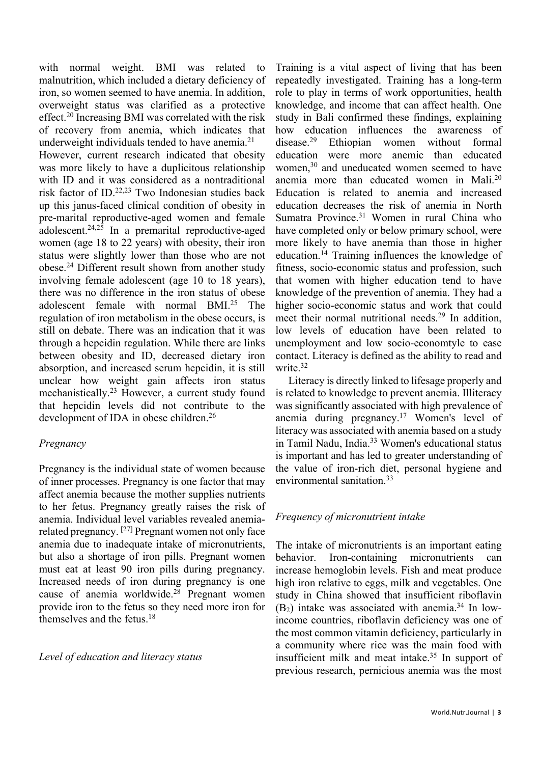with normal weight. BMI was related to malnutrition, which included a dietary deficiency of iron, so women seemed to have anemia. In addition, overweight status was clarified as a protective effect.20 Increasing BMI was correlated with the risk of recovery from anemia, which indicates that underweight individuals tended to have anemia.<sup>21</sup>

However, current research indicated that obesity was more likely to have a duplicitous relationship with ID and it was considered as a nontraditional risk factor of ID.22,23 Two Indonesian studies back up this janus-faced clinical condition of obesity in pre-marital reproductive-aged women and female adolescent. 24,25 In a premarital reproductive-aged women (age 18 to 22 years) with obesity, their iron status were slightly lower than those who are not obese.24 Different result shown from another study involving female adolescent (age 10 to 18 years), there was no difference in the iron status of obese adolescent female with normal BMI.25 The regulation of iron metabolism in the obese occurs, is still on debate. There was an indication that it was through a hepcidin regulation. While there are links between obesity and ID, decreased dietary iron absorption, and increased serum hepcidin, it is still unclear how weight gain affects iron status mechanistically.23 However, a current study found that hepcidin levels did not contribute to the development of IDA in obese children.<sup>26</sup>

### *Pregnancy*

Pregnancy is the individual state of women because of inner processes. Pregnancy is one factor that may affect anemia because the mother supplies nutrients to her fetus. Pregnancy greatly raises the risk of anemia. Individual level variables revealed anemiarelated pregnancy. [27] Pregnant women not only face anemia due to inadequate intake of micronutrients, but also a shortage of iron pills. Pregnant women must eat at least 90 iron pills during pregnancy. Increased needs of iron during pregnancy is one cause of anemia worldwide. <sup>28</sup> Pregnant women provide iron to the fetus so they need more iron for themselves and the fetus. 18

#### *Level of education and literacy status*

Training is a vital aspect of living that has been repeatedly investigated. Training has a long-term role to play in terms of work opportunities, health knowledge, and income that can affect health. One study in Bali confirmed these findings, explaining how education influences the awareness of disease.29 Ethiopian women without formal education were more anemic than educated women,<sup>30</sup> and uneducated women seemed to have anemia more than educated women in Mali.20 Education is related to anemia and increased education decreases the risk of anemia in North Sumatra Province.31 Women in rural China who have completed only or below primary school, were more likely to have anemia than those in higher education.14 Training influences the knowledge of fitness, socio-economic status and profession, such that women with higher education tend to have knowledge of the prevention of anemia. They had a higher socio-economic status and work that could meet their normal nutritional needs.<sup>29</sup> In addition, low levels of education have been related to unemployment and low socio-economtyle to ease contact. Literacy is defined as the ability to read and write. 32

Literacy is directly linked to lifesage properly and is related to knowledge to prevent anemia. Illiteracy was significantly associated with high prevalence of anemia during pregnancy.<sup>17</sup> Women's level of literacy was associated with anemia based on a study in Tamil Nadu, India.33 Women's educational status is important and has led to greater understanding of the value of iron-rich diet, personal hygiene and environmental sanitation. 33

### *Frequency of micronutrient intake*

The intake of micronutrients is an important eating behavior. Iron-containing micronutrients can increase hemoglobin levels. Fish and meat produce high iron relative to eggs, milk and vegetables. One study in China showed that insufficient riboflavin  $(B<sub>2</sub>)$  intake was associated with anemia.<sup>34</sup> In lowincome countries, riboflavin deficiency was one of the most common vitamin deficiency, particularly in a community where rice was the main food with insufficient milk and meat intake.35 In support of previous research, pernicious anemia was the most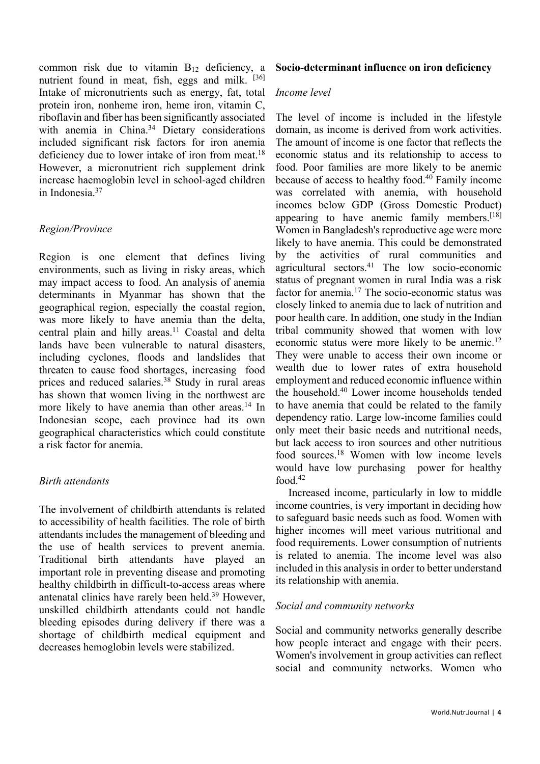common risk due to vitamin B12 deficiency, a nutrient found in meat, fish, eggs and milk. [36] Intake of micronutrients such as energy, fat, total protein iron, nonheme iron, heme iron, vitamin C, riboflavin and fiber has been significantly associated with anemia in China.<sup>34</sup> Dietary considerations included significant risk factors for iron anemia deficiency due to lower intake of iron from meat.<sup>18</sup> However, a micronutrient rich supplement drink increase haemoglobin level in school-aged children in Indonesia.37

### *Region/Province*

Region is one element that defines living environments, such as living in risky areas, which may impact access to food. An analysis of anemia determinants in Myanmar has shown that the geographical region, especially the coastal region, was more likely to have anemia than the delta, central plain and hilly areas.<sup>11</sup> Coastal and delta lands have been vulnerable to natural disasters, including cyclones, floods and landslides that threaten to cause food shortages, increasing food prices and reduced salaries.<sup>38</sup> Study in rural areas has shown that women living in the northwest are more likely to have anemia than other areas.<sup>14</sup> In Indonesian scope, each province had its own geographical characteristics which could constitute a risk factor for anemia.

### *Birth attendants*

The involvement of childbirth attendants is related to accessibility of health facilities. The role of birth attendants includes the management of bleeding and the use of health services to prevent anemia. Traditional birth attendants have played an important role in preventing disease and promoting healthy childbirth in difficult-to-access areas where antenatal clinics have rarely been held.39 However, unskilled childbirth attendants could not handle bleeding episodes during delivery if there was a shortage of childbirth medical equipment and decreases hemoglobin levels were stabilized.

### **Socio-determinant influence on iron deficiency**

### *Income level*

The level of income is included in the lifestyle domain, as income is derived from work activities. The amount of income is one factor that reflects the economic status and its relationship to access to food. Poor families are more likely to be anemic because of access to healthy food.40 Family income was correlated with anemia, with household incomes below GDP (Gross Domestic Product) appearing to have anemic family members.<sup>[18]</sup> Women in Bangladesh's reproductive age were more likely to have anemia. This could be demonstrated by the activities of rural communities and agricultural sectors. <sup>41</sup> The low socio-economic status of pregnant women in rural India was a risk factor for anemia. $17$  The socio-economic status was closely linked to anemia due to lack of nutrition and poor health care. In addition, one study in the Indian tribal community showed that women with low economic status were more likely to be anemic.12 They were unable to access their own income or wealth due to lower rates of extra household employment and reduced economic influence within the household.40 Lower income households tended to have anemia that could be related to the family dependency ratio. Large low-income families could only meet their basic needs and nutritional needs, but lack access to iron sources and other nutritious food sources.18 Women with low income levels would have low purchasing power for healthy food  $42$ 

Increased income, particularly in low to middle income countries, is very important in deciding how to safeguard basic needs such as food. Women with higher incomes will meet various nutritional and food requirements. Lower consumption of nutrients is related to anemia. The income level was also included in this analysis in order to better understand its relationship with anemia.

### *Social and community networks*

Social and community networks generally describe how people interact and engage with their peers. Women's involvement in group activities can reflect social and community networks. Women who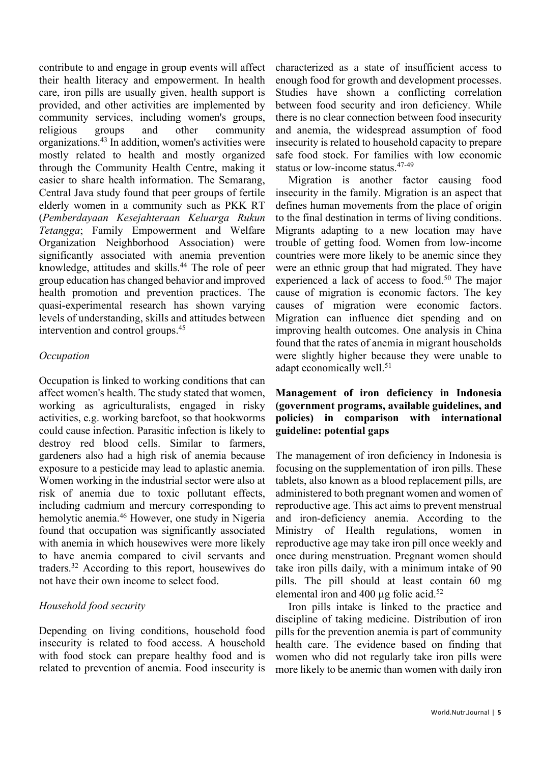contribute to and engage in group events will affect their health literacy and empowerment. In health care, iron pills are usually given, health support is provided, and other activities are implemented by community services, including women's groups, religious groups and other community organizations.43 In addition, women's activities were mostly related to health and mostly organized through the Community Health Centre, making it easier to share health information. The Semarang, Central Java study found that peer groups of fertile elderly women in a community such as PKK RT (*Pemberdayaan Kesejahteraan Keluarga Rukun Tetangga*; Family Empowerment and Welfare Organization Neighborhood Association) were significantly associated with anemia prevention knowledge, attitudes and skills.44 The role of peer group education has changed behavior and improved health promotion and prevention practices. The quasi-experimental research has shown varying levels of understanding, skills and attitudes between intervention and control groups.45

### *Occupation*

Occupation is linked to working conditions that can affect women's health. The study stated that women, working as agriculturalists, engaged in risky activities, e.g. working barefoot, so that hookworms could cause infection. Parasitic infection is likely to destroy red blood cells. Similar to farmers, gardeners also had a high risk of anemia because exposure to a pesticide may lead to aplastic anemia. Women working in the industrial sector were also at risk of anemia due to toxic pollutant effects, including cadmium and mercury corresponding to hemolytic anemia.<sup>46</sup> However, one study in Nigeria found that occupation was significantly associated with anemia in which housewives were more likely to have anemia compared to civil servants and traders.32 According to this report, housewives do not have their own income to select food.

### *Household food security*

Depending on living conditions, household food insecurity is related to food access. A household with food stock can prepare healthy food and is related to prevention of anemia. Food insecurity is characterized as a state of insufficient access to enough food for growth and development processes. Studies have shown a conflicting correlation between food security and iron deficiency. While there is no clear connection between food insecurity and anemia, the widespread assumption of food insecurity is related to household capacity to prepare safe food stock. For families with low economic status or low-income status.47-49

Migration is another factor causing food insecurity in the family. Migration is an aspect that defines human movements from the place of origin to the final destination in terms of living conditions. Migrants adapting to a new location may have trouble of getting food. Women from low-income countries were more likely to be anemic since they were an ethnic group that had migrated. They have experienced a lack of access to food.<sup>50</sup> The major cause of migration is economic factors. The key causes of migration were economic factors. Migration can influence diet spending and on improving health outcomes. One analysis in China found that the rates of anemia in migrant households were slightly higher because they were unable to adapt economically well.<sup>51</sup>

### **Management of iron deficiency in Indonesia (government programs, available guidelines, and policies) in comparison with international guideline: potential gaps**

The management of iron deficiency in Indonesia is focusing on the supplementation of iron pills. These tablets, also known as a blood replacement pills, are administered to both pregnant women and women of reproductive age. This act aims to prevent menstrual and iron-deficiency anemia. According to the Ministry of Health regulations, women in reproductive age may take iron pill once weekly and once during menstruation. Pregnant women should take iron pills daily, with a minimum intake of 90 pills. The pill should at least contain 60 mg elemental iron and 400  $\mu$ g folic acid.<sup>52</sup>

Iron pills intake is linked to the practice and discipline of taking medicine. Distribution of iron pills for the prevention anemia is part of community health care. The evidence based on finding that women who did not regularly take iron pills were more likely to be anemic than women with daily iron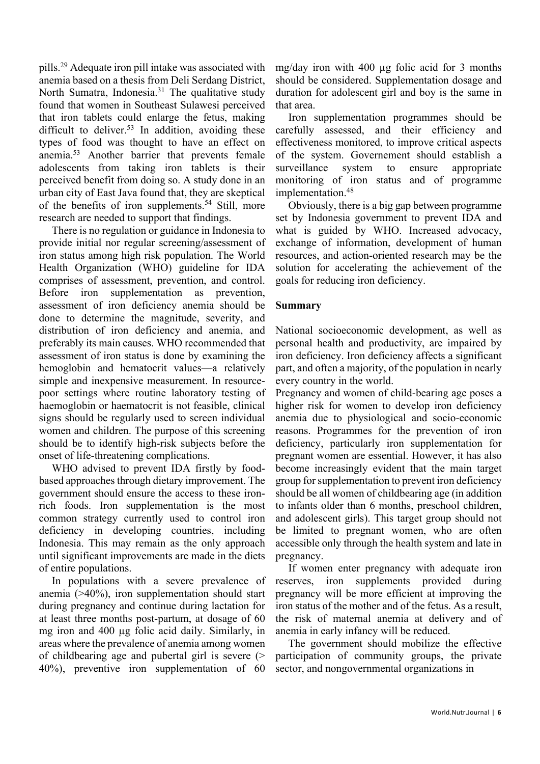pills.29 Adequate iron pill intake was associated with anemia based on a thesis from Deli Serdang District, North Sumatra, Indonesia.<sup>31</sup> The qualitative study found that women in Southeast Sulawesi perceived that iron tablets could enlarge the fetus, making difficult to deliver.<sup>53</sup> In addition, avoiding these types of food was thought to have an effect on anemia. <sup>53</sup> Another barrier that prevents female adolescents from taking iron tablets is their perceived benefit from doing so. A study done in an urban city of East Java found that, they are skeptical of the benefits of iron supplements.<sup>54</sup> Still, more research are needed to support that findings.

There is no regulation or guidance in Indonesia to provide initial nor regular screening/assessment of iron status among high risk population. The World Health Organization (WHO) guideline for IDA comprises of assessment, prevention, and control. Before iron supplementation as prevention, assessment of iron deficiency anemia should be done to determine the magnitude, severity, and distribution of iron deficiency and anemia, and preferably its main causes. WHO recommended that assessment of iron status is done by examining the hemoglobin and hematocrit values—a relatively simple and inexpensive measurement. In resourcepoor settings where routine laboratory testing of haemoglobin or haematocrit is not feasible, clinical signs should be regularly used to screen individual women and children. The purpose of this screening should be to identify high-risk subjects before the onset of life-threatening complications.

WHO advised to prevent IDA firstly by foodbased approaches through dietary improvement. The government should ensure the access to these ironrich foods. Iron supplementation is the most common strategy currently used to control iron deficiency in developing countries, including Indonesia. This may remain as the only approach until significant improvements are made in the diets of entire populations.

In populations with a severe prevalence of anemia (>40%), iron supplementation should start during pregnancy and continue during lactation for at least three months post-partum, at dosage of 60 mg iron and 400 µg folic acid daily. Similarly, in areas where the prevalence of anemia among women of childbearing age and pubertal girl is severe (> 40%), preventive iron supplementation of 60

mg/day iron with 400 µg folic acid for 3 months should be considered. Supplementation dosage and duration for adolescent girl and boy is the same in that area.

Iron supplementation programmes should be carefully assessed, and their efficiency and effectiveness monitored, to improve critical aspects of the system. Governement should establish a surveillance system to ensure appropriate monitoring of iron status and of programme implementation. 48

Obviously, there is a big gap between programme set by Indonesia government to prevent IDA and what is guided by WHO. Increased advocacy, exchange of information, development of human resources, and action-oriented research may be the solution for accelerating the achievement of the goals for reducing iron deficiency.

### **Summary**

National socioeconomic development, as well as personal health and productivity, are impaired by iron deficiency. Iron deficiency affects a significant part, and often a majority, of the population in nearly every country in the world.

Pregnancy and women of child-bearing age poses a higher risk for women to develop iron deficiency anemia due to physiological and socio-economic reasons. Programmes for the prevention of iron deficiency, particularly iron supplementation for pregnant women are essential. However, it has also become increasingly evident that the main target group for supplementation to prevent iron deficiency should be all women of childbearing age (in addition to infants older than 6 months, preschool children, and adolescent girls). This target group should not be limited to pregnant women, who are often accessible only through the health system and late in pregnancy.

If women enter pregnancy with adequate iron reserves, iron supplements provided during pregnancy will be more efficient at improving the iron status of the mother and of the fetus. As a result, the risk of maternal anemia at delivery and of anemia in early infancy will be reduced.

The government should mobilize the effective participation of community groups, the private sector, and nongovernmental organizations in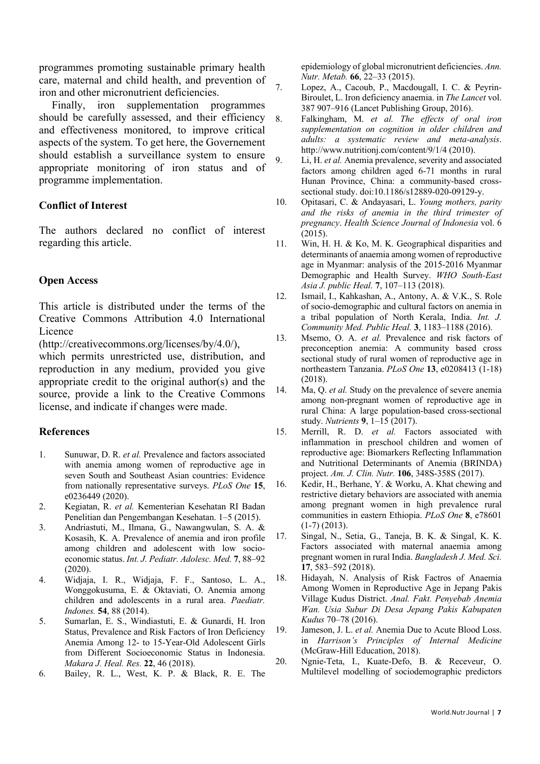programmes promoting sustainable primary health care, maternal and child health, and prevention of iron and other micronutrient deficiencies.

Finally, iron supplementation programmes should be carefully assessed, and their efficiency 8. and effectiveness monitored, to improve critical aspects of the system. To get here, the Governement should establish a surveillance system to ensure appropriate monitoring of iron status and of programme implementation.

### **Conflict of Interest**

The authors declared no conflict of interest regarding this article.

### **Open Access**

This article is distributed under the terms of the Creative Commons Attribution 4.0 International Licence

(http://creativecommons.org/licenses/by/4.0/),

which permits unrestricted use, distribution, and reproduction in any medium, provided you give appropriate credit to the original author(s) and the source, provide a link to the Creative Commons license, and indicate if changes were made.

### **References**

- 1. Sunuwar, D. R. *et al.* Prevalence and factors associated with anemia among women of reproductive age in seven South and Southeast Asian countries: Evidence from nationally representative surveys. *PLoS One* **15**, e0236449 (2020).
- 2. Kegiatan, R. *et al.* Kementerian Kesehatan RI Badan Penelitian dan Pengembangan Kesehatan. 1–5 (2015).
- 3. Andriastuti, M., Ilmana, G., Nawangwulan, S. A. & Kosasih, K. A. Prevalence of anemia and iron profile among children and adolescent with low socioeconomic status. *Int. J. Pediatr. Adolesc. Med.* **7**, 88–92 (2020).
- 4. Widjaja, I. R., Widjaja, F. F., Santoso, L. A., Wonggokusuma, E. & Oktaviati, O. Anemia among children and adolescents in a rural area. *Paediatr. Indones.* **54**, 88 (2014).
- 5. Sumarlan, E. S., Windiastuti, E. & Gunardi, H. Iron Status, Prevalence and Risk Factors of Iron Deficiency Anemia Among 12- to 15-Year-Old Adolescent Girls from Different Socioeconomic Status in Indonesia. *Makara J. Heal. Res.* **22**, 46 (2018).
- 6. Bailey, R. L., West, K. P. & Black, R. E. The

epidemiology of global micronutrient deficiencies. *Ann. Nutr. Metab.* **66**, 22–33 (2015).

- 7. Lopez, A., Cacoub, P., Macdougall, I. C. & Peyrin-Biroulet, L. Iron deficiency anaemia. in *The Lancet* vol. 387 907–916 (Lancet Publishing Group, 2016).
	- 8. Falkingham, M. *et al. The effects of oral iron supplementation on cognition in older children and adults: a systematic review and meta-analysis*. http://www.nutritionj.com/content/9/1/4 (2010).
- 9. Li, H. *et al.* Anemia prevalence, severity and associated factors among children aged 6-71 months in rural Hunan Province, China: a community-based crosssectional study. doi:10.1186/s12889-020-09129-y.
- 10. Opitasari, C. & Andayasari, L. *Young mothers, parity and the risks of anemia in the third trimester of pregnancy*. *Health Science Journal of Indonesia* vol. 6 (2015).
- 11. Win, H. H. & Ko, M. K. Geographical disparities and determinants of anaemia among women of reproductive age in Myanmar: analysis of the 2015-2016 Myanmar Demographic and Health Survey. *WHO South-East Asia J. public Heal.* **7**, 107–113 (2018).
- 12. Ismail, I., Kahkashan, A., Antony, A. & V.K., S. Role of socio-demographic and cultural factors on anemia in a tribal population of North Kerala, India. *Int. J. Community Med. Public Heal.* **3**, 1183–1188 (2016).
- 13. Msemo, O. A. *et al.* Prevalence and risk factors of preconception anemia: A community based cross sectional study of rural women of reproductive age in northeastern Tanzania. *PLoS One* **13**, e0208413 (1-18) (2018).
- 14. Ma, Q. *et al.* Study on the prevalence of severe anemia among non-pregnant women of reproductive age in rural China: A large population-based cross-sectional study. *Nutrients* **9**, 1–15 (2017).
- 15. Merrill, R. D. *et al.* Factors associated with inflammation in preschool children and women of reproductive age: Biomarkers Reflecting Inflammation and Nutritional Determinants of Anemia (BRINDA) project. *Am. J. Clin. Nutr.* **106**, 348S-358S (2017).
- 16. Kedir, H., Berhane, Y. & Worku, A. Khat chewing and restrictive dietary behaviors are associated with anemia among pregnant women in high prevalence rural communities in eastern Ethiopia. *PLoS One* **8**, e78601 (1-7) (2013).
- 17. Singal, N., Setia, G., Taneja, B. K. & Singal, K. K. Factors associated with maternal anaemia among pregnant women in rural India. *Bangladesh J. Med. Sci.* **17**, 583–592 (2018).
- 18. Hidayah, N. Analysis of Risk Factros of Anaemia Among Women in Reproductive Age in Jepang Pakis Village Kudus District. *Anal. Fakt. Penyebab Anemia Wan. Usia Subur Di Desa Jepang Pakis Kabupaten Kudus* 70–78 (2016).
- 19. Jameson, J. L. *et al.* Anemia Due to Acute Blood Loss. in *Harrison's Principles of Internal Medicine* (McGraw-Hill Education, 2018).
- 20. Ngnie-Teta, I., Kuate-Defo, B. & Receveur, O. Multilevel modelling of sociodemographic predictors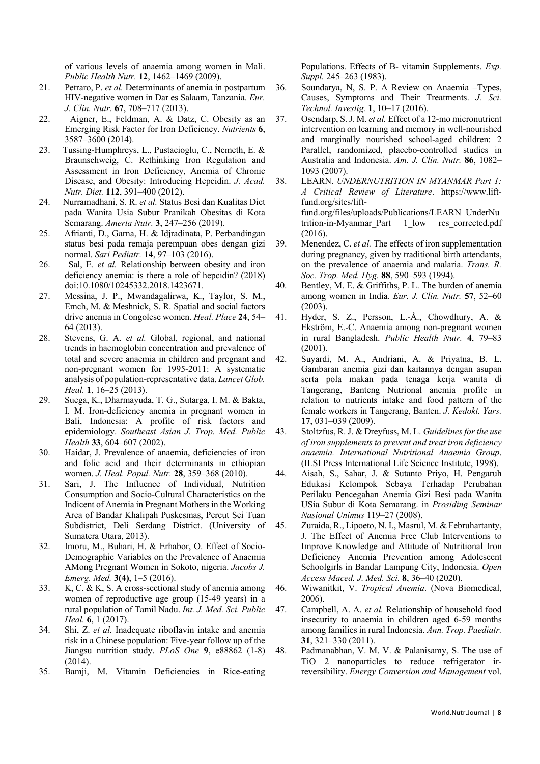of various levels of anaemia among women in Mali. *Public Health Nutr.* **12**, 1462–1469 (2009).

- 21. Petraro, P. *et al.* Determinants of anemia in postpartum HIV-negative women in Dar es Salaam, Tanzania. *Eur. J. Clin. Nutr.* **67**, 708–717 (2013).
- 22. Aigner, E., Feldman, A. & Datz, C. Obesity as an Emerging Risk Factor for Iron Deficiency. *Nutrients* **6**, 3587–3600 (2014).
- 23. Tussing-Humphreys, L., Pustacioglu, C., Nemeth, E. & Braunschweig, C. Rethinking Iron Regulation and Assessment in Iron Deficiency, Anemia of Chronic Disease, and Obesity: Introducing Hepcidin. *J. Acad. Nutr. Diet.* **112**, 391–400 (2012).
- 24. Nurramadhani, S. R. *et al.* Status Besi dan Kualitas Diet pada Wanita Usia Subur Pranikah Obesitas di Kota Semarang. *Amerta Nutr.* **3**, 247–256 (2019).
- 25. Afrianti, D., Garna, H. & Idjradinata, P. Perbandingan status besi pada remaja perempuan obes dengan gizi normal. *Sari Pediatr.* **14**, 97–103 (2016).
- 26. Sal, E. *et al.* Relationship between obesity and iron deficiency anemia: is there a role of hepcidin? (2018) doi:10.1080/10245332.2018.1423671.
- 27. Messina, J. P., Mwandagalirwa, K., Taylor, S. M., Emch, M. & Meshnick, S. R. Spatial and social factors drive anemia in Congolese women. *Heal. Place* **24**, 54– 64 (2013).
- 28. Stevens, G. A. *et al.* Global, regional, and national trends in haemoglobin concentration and prevalence of total and severe anaemia in children and pregnant and non-pregnant women for 1995-2011: A systematic analysis of population-representative data. *Lancet Glob. Heal.* **1**, 16–25 (2013).
- 29. Suega, K., Dharmayuda, T. G., Sutarga, I. M. & Bakta, I. M. Iron-deficiency anemia in pregnant women in Bali, Indonesia: A profile of risk factors and epidemiology. *Southeast Asian J. Trop. Med. Public Health* **33**, 604–607 (2002).
- 30. Haidar, J. Prevalence of anaemia, deficiencies of iron and folic acid and their determinants in ethiopian women. *J. Heal. Popul. Nutr.* **28**, 359–368 (2010).
- 31. Sari, J. The Influence of Individual, Nutrition Consumption and Socio-Cultural Characteristics on the Indicent of Anemia in Pregnant Mothers in the Working Area of Bandar Khalipah Puskesmas, Percut Sei Tuan Subdistrict, Deli Serdang District. (University of Sumatera Utara, 2013).
- 32. Imoru, M., Buhari, H. & Erhabor, O. Effect of Socio-Demographic Variables on the Prevalence of Anaemia AMong Pregnant Women in Sokoto, nigeria. *Jacobs J. Emerg. Med.* **3(4)**, 1–5 (2016).
- 33. K, C. & K, S. A cross-sectional study of anemia among women of reproductive age group (15-49 years) in a rural population of Tamil Nadu. *Int. J. Med. Sci. Public Heal.* **6**, 1 (2017).
- 34. Shi, Z. *et al.* Inadequate riboflavin intake and anemia risk in a Chinese population: Five-year follow up of the Jiangsu nutrition study. *PLoS One* **9**, e88862 (1-8) (2014).
- 35. Bamji, M. Vitamin Deficiencies in Rice-eating

Populations. Effects of B- vitamin Supplements. *Exp. Suppl.* 245–263 (1983).

- 36. Soundarya, N, S. P. A Review on Anaemia –Types, Causes, Symptoms and Their Treatments. *J. Sci. Technol. Investig.* **1**, 10–17 (2016).
- 37. Osendarp, S. J. M. *et al.* Effect of a 12-mo micronutrient intervention on learning and memory in well-nourished and marginally nourished school-aged children: 2 Parallel, randomized, placebo-controlled studies in Australia and Indonesia. *Am. J. Clin. Nutr.* **86**, 1082– 1093 (2007).
- 38. LEARN. *UNDERNUTRITION IN MYANMAR Part 1: A Critical Review of Literature*. https://www.liftfund.org/sites/liftfund.org/files/uploads/Publications/LEARN\_UnderNu trition-in-Myanmar\_Part 1\_low res\_corrected.pdf (2016).
- 39. Menendez, C. *et al.* The effects of iron supplementation during pregnancy, given by traditional birth attendants, on the prevalence of anaemia and malaria. *Trans. R. Soc. Trop. Med. Hyg.* **88**, 590–593 (1994).
- 40. Bentley, M. E. & Griffiths, P. L. The burden of anemia among women in India. *Eur. J. Clin. Nutr.* **57**, 52–60 (2003).
- 41. Hyder, S. Z., Persson, L.-Å., Chowdhury, A. & Ekström, E.-C. Anaemia among non-pregnant women in rural Bangladesh. *Public Health Nutr.* **4**, 79–83 (2001).
- 42. Suyardi, M. A., Andriani, A. & Priyatna, B. L. Gambaran anemia gizi dan kaitannya dengan asupan serta pola makan pada tenaga kerja wanita di Tangerang, Banteng Nutrional anemia profile in relation to nutrients intake and food pattern of the female workers in Tangerang, Banten. *J. Kedokt. Yars.* **17**, 031–039 (2009).
- 43. Stoltzfus, R. J. & Dreyfuss, M. L. *Guidelines for the use of iron supplements to prevent and treat iron deficiency anaemia. International Nutritional Anaemia Group*. (ILSI Press International Life Science Institute, 1998).
- 44. Aisah, S., Sahar, J. & Sutanto Priyo, H. Pengaruh Edukasi Kelompok Sebaya Terhadap Perubahan Perilaku Pencegahan Anemia Gizi Besi pada Wanita USia Subur di Kota Semarang. in *Prosiding Seminar Nasional Unimus* 119–27 (2008).
- 45. Zuraida, R., Lipoeto, N. I., Masrul, M. & Februhartanty, J. The Effect of Anemia Free Club Interventions to Improve Knowledge and Attitude of Nutritional Iron Deficiency Anemia Prevention among Adolescent Schoolgirls in Bandar Lampung City, Indonesia. *Open Access Maced. J. Med. Sci.* **8**, 36–40 (2020).
- 46. Wiwanitkit, V. *Tropical Anemia*. (Nova Biomedical, 2006).
- 47. Campbell, A. A. *et al.* Relationship of household food insecurity to anaemia in children aged 6-59 months among families in rural Indonesia. *Ann. Trop. Paediatr.* **31**, 321–330 (2011).
- 48. Padmanabhan, V. M. V. & Palanisamy, S. The use of TiO 2 nanoparticles to reduce refrigerator irreversibility. *Energy Conversion and Management* vol.